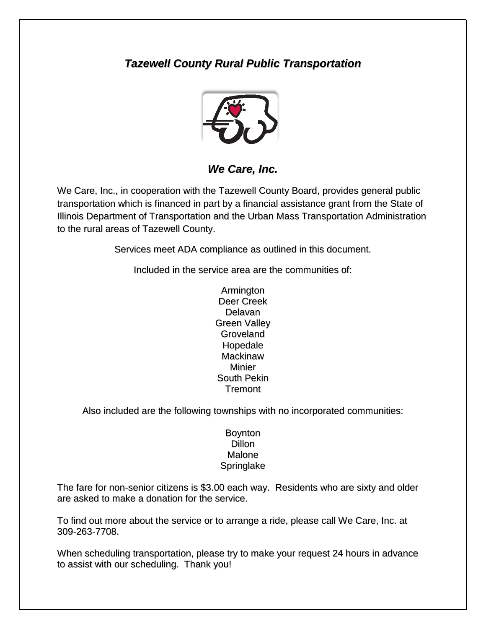# *Tazewell County Rural Public Transportation*



*We Care, Inc.*

We Care, Inc., in cooperation with the Tazewell County Board, provides general public transportation which is financed in part by a financial assistance grant from the State of Illinois Department of Transportation and the Urban Mass Transportation Administration to the rural areas of Tazewell County.

Services meet ADA compliance as outlined in this document.

Included in the service area are the communities of:

Armington Deer Creek Delavan Green Valley **Groveland** Hopedale **Mackinaw** Minier South Pekin Tremont

Also included are the following townships with no incorporated communities:

#### Boynton Dillon Malone Springlake

The fare for non-senior citizens is \$3.00 each way. Residents who are sixty and older are asked to make a donation for the service.

To find out more about the service or to arrange a ride, please call We Care, Inc. at 309-263-7708.

When scheduling transportation, please try to make your request 24 hours in advance to assist with our scheduling. Thank you!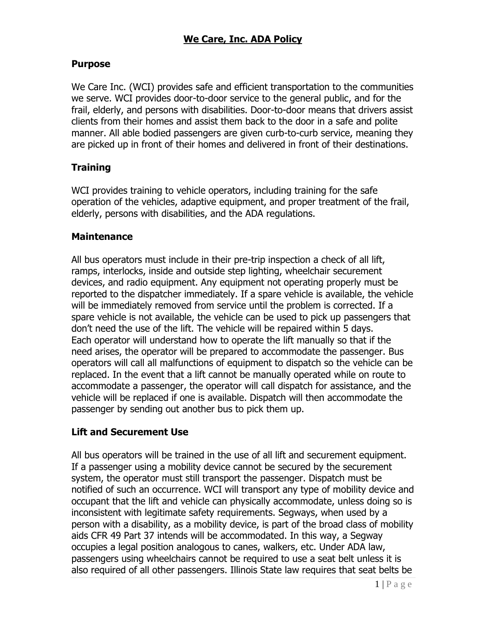### **Purpose**

We Care Inc. (WCI) provides safe and efficient transportation to the communities we serve. WCI provides door-to-door service to the general public, and for the frail, elderly, and persons with disabilities. Door-to-door means that drivers assist clients from their homes and assist them back to the door in a safe and polite manner. All able bodied passengers are given curb-to-curb service, meaning they are picked up in front of their homes and delivered in front of their destinations.

### **Training**

WCI provides training to vehicle operators, including training for the safe operation of the vehicles, adaptive equipment, and proper treatment of the frail, elderly, persons with disabilities, and the ADA regulations.

#### **Maintenance**

All bus operators must include in their pre-trip inspection a check of all lift, ramps, interlocks, inside and outside step lighting, wheelchair securement devices, and radio equipment. Any equipment not operating properly must be reported to the dispatcher immediately. If a spare vehicle is available, the vehicle will be immediately removed from service until the problem is corrected. If a spare vehicle is not available, the vehicle can be used to pick up passengers that don't need the use of the lift. The vehicle will be repaired within 5 days. Each operator will understand how to operate the lift manually so that if the need arises, the operator will be prepared to accommodate the passenger. Bus operators will call all malfunctions of equipment to dispatch so the vehicle can be replaced. In the event that a lift cannot be manually operated while on route to accommodate a passenger, the operator will call dispatch for assistance, and the vehicle will be replaced if one is available. Dispatch will then accommodate the passenger by sending out another bus to pick them up.

#### **Lift and Securement Use**

All bus operators will be trained in the use of all lift and securement equipment. If a passenger using a mobility device cannot be secured by the securement system, the operator must still transport the passenger. Dispatch must be notified of such an occurrence. WCI will transport any type of mobility device and occupant that the lift and vehicle can physically accommodate, unless doing so is inconsistent with legitimate safety requirements. Segways, when used by a person with a disability, as a mobility device, is part of the broad class of mobility aids CFR 49 Part 37 intends will be accommodated. In this way, a Segway occupies a legal position analogous to canes, walkers, etc. Under ADA law, passengers using wheelchairs cannot be required to use a seat belt unless it is also required of all other passengers. Illinois State law requires that seat belts be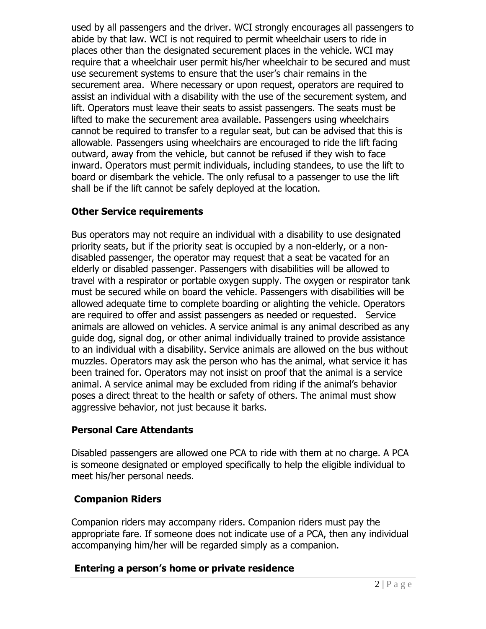used by all passengers and the driver. WCI strongly encourages all passengers to abide by that law. WCI is not required to permit wheelchair users to ride in places other than the designated securement places in the vehicle. WCI may require that a wheelchair user permit his/her wheelchair to be secured and must use securement systems to ensure that the user's chair remains in the securement area. Where necessary or upon request, operators are required to assist an individual with a disability with the use of the securement system, and lift. Operators must leave their seats to assist passengers. The seats must be lifted to make the securement area available. Passengers using wheelchairs cannot be required to transfer to a regular seat, but can be advised that this is allowable. Passengers using wheelchairs are encouraged to ride the lift facing outward, away from the vehicle, but cannot be refused if they wish to face inward. Operators must permit individuals, including standees, to use the lift to board or disembark the vehicle. The only refusal to a passenger to use the lift shall be if the lift cannot be safely deployed at the location.

### **Other Service requirements**

Bus operators may not require an individual with a disability to use designated priority seats, but if the priority seat is occupied by a non-elderly, or a nondisabled passenger, the operator may request that a seat be vacated for an elderly or disabled passenger. Passengers with disabilities will be allowed to travel with a respirator or portable oxygen supply. The oxygen or respirator tank must be secured while on board the vehicle. Passengers with disabilities will be allowed adequate time to complete boarding or alighting the vehicle. Operators are required to offer and assist passengers as needed or requested. Service animals are allowed on vehicles. A service animal is any animal described as any guide dog, signal dog, or other animal individually trained to provide assistance to an individual with a disability. Service animals are allowed on the bus without muzzles. Operators may ask the person who has the animal, what service it has been trained for. Operators may not insist on proof that the animal is a service animal. A service animal may be excluded from riding if the animal's behavior poses a direct threat to the health or safety of others. The animal must show aggressive behavior, not just because it barks.

#### **Personal Care Attendants**

Disabled passengers are allowed one PCA to ride with them at no charge. A PCA is someone designated or employed specifically to help the eligible individual to meet his/her personal needs.

#### **Companion Riders**

Companion riders may accompany riders. Companion riders must pay the appropriate fare. If someone does not indicate use of a PCA, then any individual accompanying him/her will be regarded simply as a companion.

#### **Entering a person's home or private residence**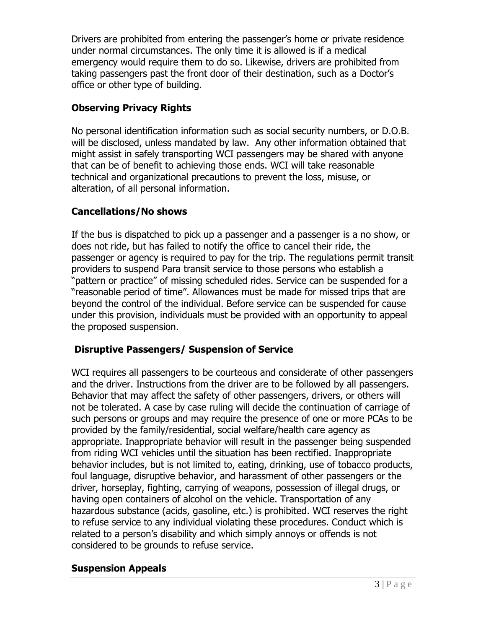Drivers are prohibited from entering the passenger's home or private residence under normal circumstances. The only time it is allowed is if a medical emergency would require them to do so. Likewise, drivers are prohibited from taking passengers past the front door of their destination, such as a Doctor's office or other type of building.

# **Observing Privacy Rights**

No personal identification information such as social security numbers, or D.O.B. will be disclosed, unless mandated by law. Any other information obtained that might assist in safely transporting WCI passengers may be shared with anyone that can be of benefit to achieving those ends. WCI will take reasonable technical and organizational precautions to prevent the loss, misuse, or alteration, of all personal information.

# **Cancellations/No shows**

If the bus is dispatched to pick up a passenger and a passenger is a no show, or does not ride, but has failed to notify the office to cancel their ride, the passenger or agency is required to pay for the trip. The regulations permit transit providers to suspend Para transit service to those persons who establish a "pattern or practice" of missing scheduled rides. Service can be suspended for a "reasonable period of time". Allowances must be made for missed trips that are beyond the control of the individual. Before service can be suspended for cause under this provision, individuals must be provided with an opportunity to appeal the proposed suspension.

# **Disruptive Passengers/ Suspension of Service**

WCI requires all passengers to be courteous and considerate of other passengers and the driver. Instructions from the driver are to be followed by all passengers. Behavior that may affect the safety of other passengers, drivers, or others will not be tolerated. A case by case ruling will decide the continuation of carriage of such persons or groups and may require the presence of one or more PCAs to be provided by the family/residential, social welfare/health care agency as appropriate. Inappropriate behavior will result in the passenger being suspended from riding WCI vehicles until the situation has been rectified. Inappropriate behavior includes, but is not limited to, eating, drinking, use of tobacco products, foul language, disruptive behavior, and harassment of other passengers or the driver, horseplay, fighting, carrying of weapons, possession of illegal drugs, or having open containers of alcohol on the vehicle. Transportation of any hazardous substance (acids, gasoline, etc.) is prohibited. WCI reserves the right to refuse service to any individual violating these procedures. Conduct which is related to a person's disability and which simply annoys or offends is not considered to be grounds to refuse service.

## **Suspension Appeals**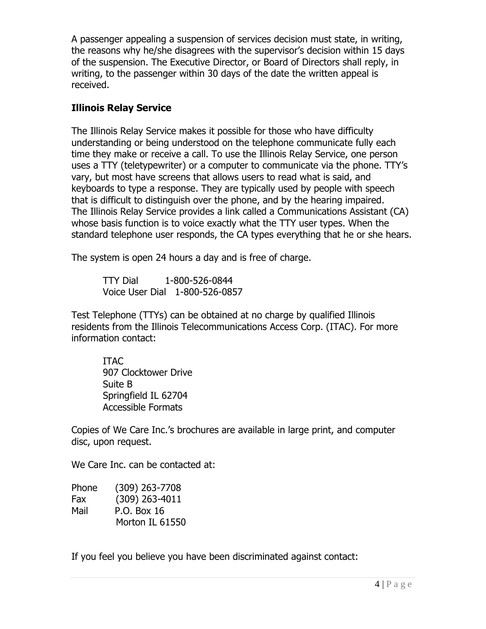A passenger appealing a suspension of services decision must state, in writing, the reasons why he/she disagrees with the supervisor's decision within 15 days of the suspension. The Executive Director, or Board of Directors shall reply, in writing, to the passenger within 30 days of the date the written appeal is received.

## **Illinois Relay Service**

The Illinois Relay Service makes it possible for those who have difficulty understanding or being understood on the telephone communicate fully each time they make or receive a call. To use the Illinois Relay Service, one person uses a TTY (teletypewriter) or a computer to communicate via the phone. TTY's vary, but most have screens that allows users to read what is said, and keyboards to type a response. They are typically used by people with speech that is difficult to distinguish over the phone, and by the hearing impaired. The Illinois Relay Service provides a link called a Communications Assistant (CA) whose basis function is to voice exactly what the TTY user types. When the standard telephone user responds, the CA types everything that he or she hears.

The system is open 24 hours a day and is free of charge.

 TTY Dial 1-800-526-0844 Voice User Dial 1-800-526-0857

Test Telephone (TTYs) can be obtained at no charge by qualified Illinois residents from the Illinois Telecommunications Access Corp. (ITAC). For more information contact:

ITAC 907 Clocktower Drive Suite B Springfield IL 62704 Accessible Formats

Copies of We Care Inc.'s brochures are available in large print, and computer disc, upon request.

We Care Inc. can be contacted at:

| Phone | (309) 263-7708   |
|-------|------------------|
| Fax   | $(309)$ 263-4011 |
| Mail  | P.O. Box 16      |
|       | Morton IL 61550  |

If you feel you believe you have been discriminated against contact: